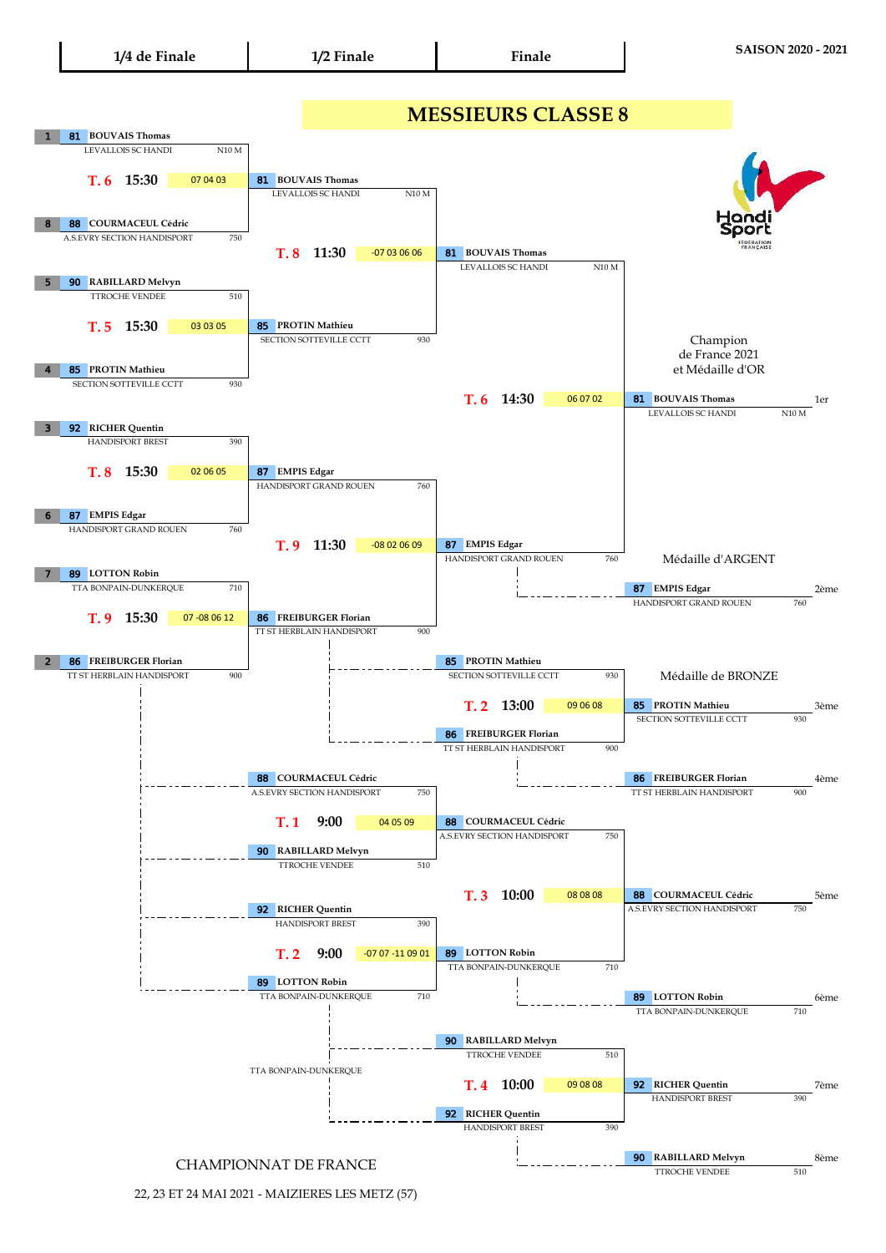